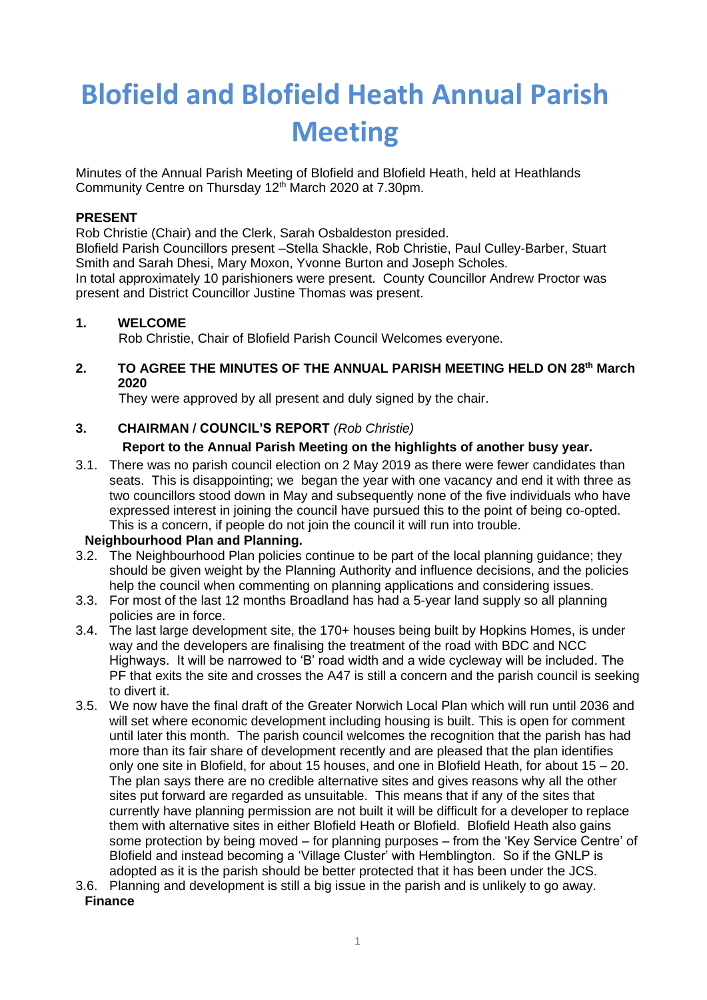# **Blofield and Blofield Heath Annual Parish Meeting**

Minutes of the Annual Parish Meeting of Blofield and Blofield Heath, held at Heathlands Community Centre on Thursday 12<sup>th</sup> March 2020 at 7.30pm.

## **PRESENT**

Rob Christie (Chair) and the Clerk, Sarah Osbaldeston presided.

Blofield Parish Councillors present –Stella Shackle, Rob Christie, Paul Culley-Barber, Stuart Smith and Sarah Dhesi, Mary Moxon, Yvonne Burton and Joseph Scholes.

In total approximately 10 parishioners were present. County Councillor Andrew Proctor was present and District Councillor Justine Thomas was present.

## **1. WELCOME**

Rob Christie, Chair of Blofield Parish Council Welcomes everyone.

## **2. TO AGREE THE MINUTES OF THE ANNUAL PARISH MEETING HELD ON 28th March 2020**

They were approved by all present and duly signed by the chair.

## **3. CHAIRMAN / COUNCIL'S REPORT** *(Rob Christie)*

## **Report to the Annual Parish Meeting on the highlights of another busy year.**

3.1. There was no parish council election on 2 May 2019 as there were fewer candidates than seats. This is disappointing; we began the year with one vacancy and end it with three as two councillors stood down in May and subsequently none of the five individuals who have expressed interest in joining the council have pursued this to the point of being co-opted. This is a concern, if people do not join the council it will run into trouble.

### **Neighbourhood Plan and Planning.**

- 3.2. The Neighbourhood Plan policies continue to be part of the local planning guidance; they should be given weight by the Planning Authority and influence decisions, and the policies help the council when commenting on planning applications and considering issues.
- 3.3. For most of the last 12 months Broadland has had a 5-year land supply so all planning policies are in force.
- 3.4. The last large development site, the 170+ houses being built by Hopkins Homes, is under way and the developers are finalising the treatment of the road with BDC and NCC Highways. It will be narrowed to 'B' road width and a wide cycleway will be included. The PF that exits the site and crosses the A47 is still a concern and the parish council is seeking to divert it.
- 3.5. We now have the final draft of the Greater Norwich Local Plan which will run until 2036 and will set where economic development including housing is built. This is open for comment until later this month. The parish council welcomes the recognition that the parish has had more than its fair share of development recently and are pleased that the plan identifies only one site in Blofield, for about 15 houses, and one in Blofield Heath, for about 15 – 20. The plan says there are no credible alternative sites and gives reasons why all the other sites put forward are regarded as unsuitable. This means that if any of the sites that currently have planning permission are not built it will be difficult for a developer to replace them with alternative sites in either Blofield Heath or Blofield. Blofield Heath also gains some protection by being moved – for planning purposes – from the 'Key Service Centre' of Blofield and instead becoming a 'Village Cluster' with Hemblington. So if the GNLP is adopted as it is the parish should be better protected that it has been under the JCS.
- 3.6. Planning and development is still a big issue in the parish and is unlikely to go away. **Finance**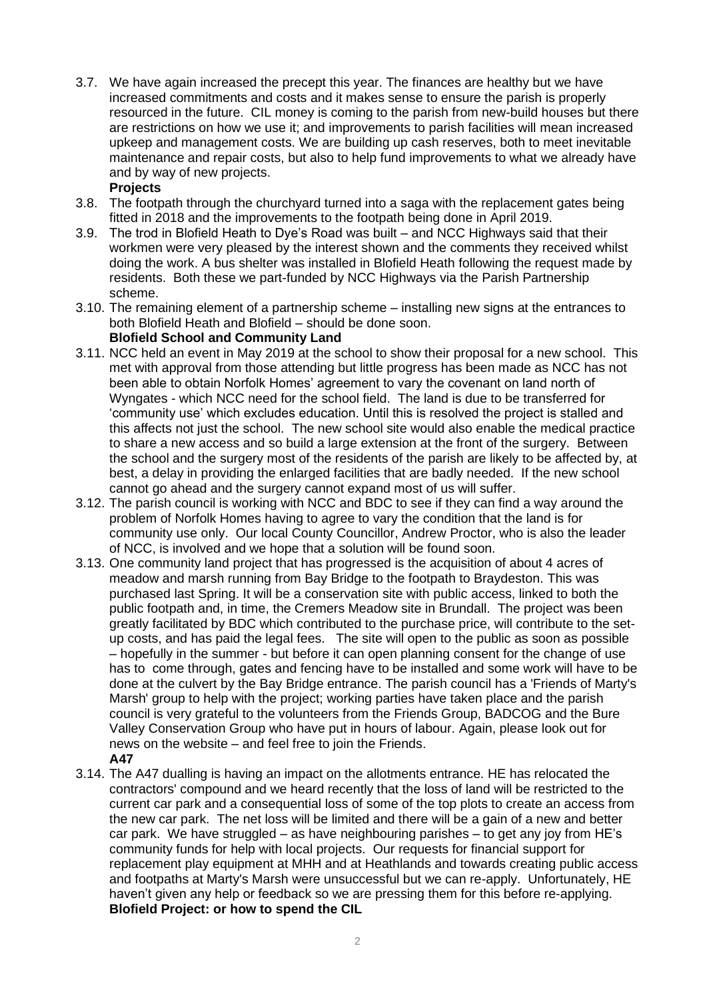3.7. We have again increased the precept this year. The finances are healthy but we have increased commitments and costs and it makes sense to ensure the parish is properly resourced in the future. CIL money is coming to the parish from new-build houses but there are restrictions on how we use it; and improvements to parish facilities will mean increased upkeep and management costs. We are building up cash reserves, both to meet inevitable maintenance and repair costs, but also to help fund improvements to what we already have and by way of new projects.

### **Projects**

- 3.8. The footpath through the churchyard turned into a saga with the replacement gates being fitted in 2018 and the improvements to the footpath being done in April 2019.
- 3.9. The trod in Blofield Heath to Dye's Road was built and NCC Highways said that their workmen were very pleased by the interest shown and the comments they received whilst doing the work. A bus shelter was installed in Blofield Heath following the request made by residents. Both these we part-funded by NCC Highways via the Parish Partnership scheme.
- 3.10. The remaining element of a partnership scheme installing new signs at the entrances to both Blofield Heath and Blofield – should be done soon. **Blofield School and Community Land**
- 3.11. NCC held an event in May 2019 at the school to show their proposal for a new school. This met with approval from those attending but little progress has been made as NCC has not been able to obtain Norfolk Homes' agreement to vary the covenant on land north of Wyngates - which NCC need for the school field. The land is due to be transferred for 'community use' which excludes education. Until this is resolved the project is stalled and this affects not just the school. The new school site would also enable the medical practice to share a new access and so build a large extension at the front of the surgery. Between the school and the surgery most of the residents of the parish are likely to be affected by, at best, a delay in providing the enlarged facilities that are badly needed. If the new school cannot go ahead and the surgery cannot expand most of us will suffer.
- 3.12. The parish council is working with NCC and BDC to see if they can find a way around the problem of Norfolk Homes having to agree to vary the condition that the land is for community use only. Our local County Councillor, Andrew Proctor, who is also the leader of NCC, is involved and we hope that a solution will be found soon.
- 3.13. One community land project that has progressed is the acquisition of about 4 acres of meadow and marsh running from Bay Bridge to the footpath to Braydeston. This was purchased last Spring. It will be a conservation site with public access, linked to both the public footpath and, in time, the Cremers Meadow site in Brundall. The project was been greatly facilitated by BDC which contributed to the purchase price, will contribute to the setup costs, and has paid the legal fees. The site will open to the public as soon as possible – hopefully in the summer - but before it can open planning consent for the change of use has to come through, gates and fencing have to be installed and some work will have to be done at the culvert by the Bay Bridge entrance. The parish council has a 'Friends of Marty's Marsh' group to help with the project; working parties have taken place and the parish council is very grateful to the volunteers from the Friends Group, BADCOG and the Bure Valley Conservation Group who have put in hours of labour. Again, please look out for news on the website – and feel free to join the Friends. **A47**
- 3.14. The A47 dualling is having an impact on the allotments entrance. HE has relocated the contractors' compound and we heard recently that the loss of land will be restricted to the current car park and a consequential loss of some of the top plots to create an access from the new car park. The net loss will be limited and there will be a gain of a new and better car park. We have struggled – as have neighbouring parishes – to get any joy from HE's community funds for help with local projects. Our requests for financial support for replacement play equipment at MHH and at Heathlands and towards creating public access and footpaths at Marty's Marsh were unsuccessful but we can re-apply. Unfortunately, HE haven't given any help or feedback so we are pressing them for this before re-applying. **Blofield Project: or how to spend the CIL**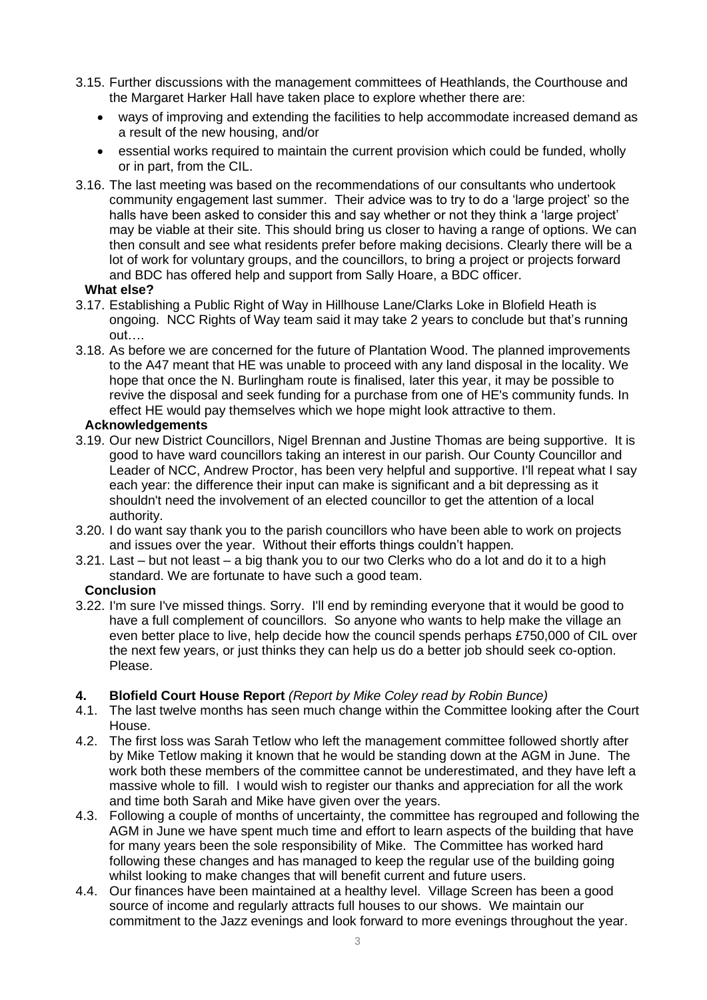- 3.15. Further discussions with the management committees of Heathlands, the Courthouse and the Margaret Harker Hall have taken place to explore whether there are:
	- ways of improving and extending the facilities to help accommodate increased demand as a result of the new housing, and/or
	- essential works required to maintain the current provision which could be funded, wholly or in part, from the CIL.
- 3.16. The last meeting was based on the recommendations of our consultants who undertook community engagement last summer. Their advice was to try to do a 'large project' so the halls have been asked to consider this and say whether or not they think a 'large project' may be viable at their site. This should bring us closer to having a range of options. We can then consult and see what residents prefer before making decisions. Clearly there will be a lot of work for voluntary groups, and the councillors, to bring a project or projects forward and BDC has offered help and support from Sally Hoare, a BDC officer.

### **What else?**

- 3.17. Establishing a Public Right of Way in Hillhouse Lane/Clarks Loke in Blofield Heath is ongoing. NCC Rights of Way team said it may take 2 years to conclude but that's running out…..
- 3.18. As before we are concerned for the future of Plantation Wood. The planned improvements to the A47 meant that HE was unable to proceed with any land disposal in the locality. We hope that once the N. Burlingham route is finalised, later this year, it may be possible to revive the disposal and seek funding for a purchase from one of HE's community funds. In effect HE would pay themselves which we hope might look attractive to them.

### **Acknowledgements**

- 3.19. Our new District Councillors, Nigel Brennan and Justine Thomas are being supportive. It is good to have ward councillors taking an interest in our parish. Our County Councillor and Leader of NCC, Andrew Proctor, has been very helpful and supportive. I'll repeat what I say each year: the difference their input can make is significant and a bit depressing as it shouldn't need the involvement of an elected councillor to get the attention of a local authority.
- 3.20. I do want say thank you to the parish councillors who have been able to work on projects and issues over the year. Without their efforts things couldn't happen.
- 3.21. Last but not least a big thank you to our two Clerks who do a lot and do it to a high standard. We are fortunate to have such a good team.

### **Conclusion**

3.22. I'm sure I've missed things. Sorry. I'll end by reminding everyone that it would be good to have a full complement of councillors. So anyone who wants to help make the village an even better place to live, help decide how the council spends perhaps £750,000 of CIL over the next few years, or just thinks they can help us do a better job should seek co-option. Please.

### **4. Blofield Court House Report** *(Report by Mike Coley read by Robin Bunce)*

- 4.1. The last twelve months has seen much change within the Committee looking after the Court House.
- 4.2. The first loss was Sarah Tetlow who left the management committee followed shortly after by Mike Tetlow making it known that he would be standing down at the AGM in June. The work both these members of the committee cannot be underestimated, and they have left a massive whole to fill. I would wish to register our thanks and appreciation for all the work and time both Sarah and Mike have given over the years.
- 4.3. Following a couple of months of uncertainty, the committee has regrouped and following the AGM in June we have spent much time and effort to learn aspects of the building that have for many years been the sole responsibility of Mike. The Committee has worked hard following these changes and has managed to keep the regular use of the building going whilst looking to make changes that will benefit current and future users.
- 4.4. Our finances have been maintained at a healthy level. Village Screen has been a good source of income and regularly attracts full houses to our shows. We maintain our commitment to the Jazz evenings and look forward to more evenings throughout the year.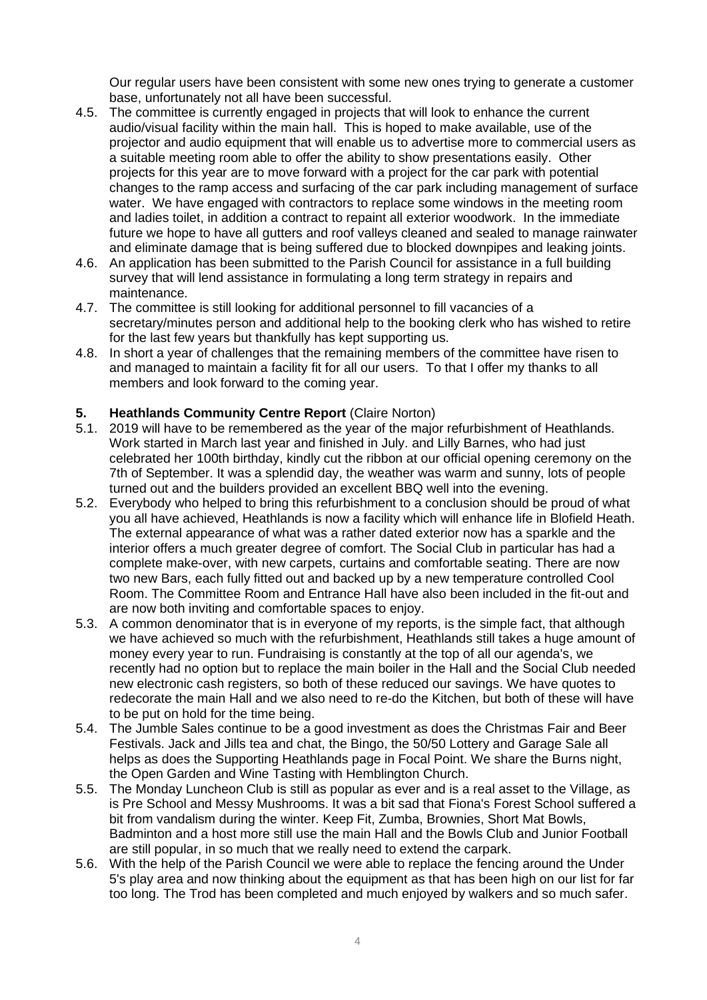Our regular users have been consistent with some new ones trying to generate a customer base, unfortunately not all have been successful.

- 4.5. The committee is currently engaged in projects that will look to enhance the current audio/visual facility within the main hall. This is hoped to make available, use of the projector and audio equipment that will enable us to advertise more to commercial users as a suitable meeting room able to offer the ability to show presentations easily. Other projects for this year are to move forward with a project for the car park with potential changes to the ramp access and surfacing of the car park including management of surface water. We have engaged with contractors to replace some windows in the meeting room and ladies toilet, in addition a contract to repaint all exterior woodwork. In the immediate future we hope to have all gutters and roof valleys cleaned and sealed to manage rainwater and eliminate damage that is being suffered due to blocked downpipes and leaking joints.
- 4.6. An application has been submitted to the Parish Council for assistance in a full building survey that will lend assistance in formulating a long term strategy in repairs and maintenance.
- 4.7. The committee is still looking for additional personnel to fill vacancies of a secretary/minutes person and additional help to the booking clerk who has wished to retire for the last few years but thankfully has kept supporting us.
- 4.8. In short a year of challenges that the remaining members of the committee have risen to and managed to maintain a facility fit for all our users. To that I offer my thanks to all members and look forward to the coming year.

### **5. Heathlands Community Centre Report** (Claire Norton)

- 5.1. 2019 will have to be remembered as the year of the major refurbishment of Heathlands. Work started in March last year and finished in July. and Lilly Barnes, who had just celebrated her 100th birthday, kindly cut the ribbon at our official opening ceremony on the 7th of September. It was a splendid day, the weather was warm and sunny, lots of people turned out and the builders provided an excellent BBQ well into the evening.
- 5.2. Everybody who helped to bring this refurbishment to a conclusion should be proud of what you all have achieved, Heathlands is now a facility which will enhance life in Blofield Heath. The external appearance of what was a rather dated exterior now has a sparkle and the interior offers a much greater degree of comfort. The Social Club in particular has had a complete make-over, with new carpets, curtains and comfortable seating. There are now two new Bars, each fully fitted out and backed up by a new temperature controlled Cool Room. The Committee Room and Entrance Hall have also been included in the fit-out and are now both inviting and comfortable spaces to enjoy.
- 5.3. A common denominator that is in everyone of my reports, is the simple fact, that although we have achieved so much with the refurbishment, Heathlands still takes a huge amount of money every year to run. Fundraising is constantly at the top of all our agenda's, we recently had no option but to replace the main boiler in the Hall and the Social Club needed new electronic cash registers, so both of these reduced our savings. We have quotes to redecorate the main Hall and we also need to re-do the Kitchen, but both of these will have to be put on hold for the time being.
- 5.4. The Jumble Sales continue to be a good investment as does the Christmas Fair and Beer Festivals. Jack and Jills tea and chat, the Bingo, the 50/50 Lottery and Garage Sale all helps as does the Supporting Heathlands page in Focal Point. We share the Burns night, the Open Garden and Wine Tasting with Hemblington Church.
- 5.5. The Monday Luncheon Club is still as popular as ever and is a real asset to the Village, as is Pre School and Messy Mushrooms. It was a bit sad that Fiona's Forest School suffered a bit from vandalism during the winter. Keep Fit, Zumba, Brownies, Short Mat Bowls, Badminton and a host more still use the main Hall and the Bowls Club and Junior Football are still popular, in so much that we really need to extend the carpark.
- 5.6. With the help of the Parish Council we were able to replace the fencing around the Under 5's play area and now thinking about the equipment as that has been high on our list for far too long. The Trod has been completed and much enjoyed by walkers and so much safer.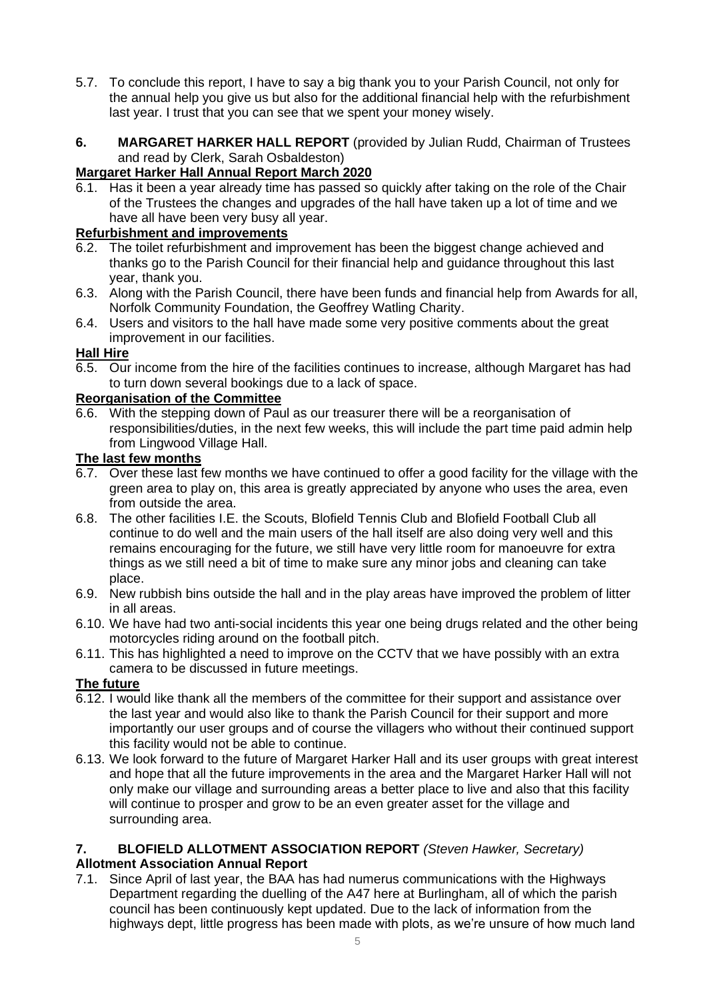- 5.7. To conclude this report, I have to say a big thank you to your Parish Council, not only for the annual help you give us but also for the additional financial help with the refurbishment last year. I trust that you can see that we spent your money wisely.
- **6. MARGARET HARKER HALL REPORT** (provided by Julian Rudd, Chairman of Trustees and read by Clerk, Sarah Osbaldeston)

# **Margaret Harker Hall Annual Report March 2020**

6.1. Has it been a year already time has passed so quickly after taking on the role of the Chair of the Trustees the changes and upgrades of the hall have taken up a lot of time and we have all have been very busy all year.

# **Refurbishment and improvements**

- 6.2. The toilet refurbishment and improvement has been the biggest change achieved and thanks go to the Parish Council for their financial help and guidance throughout this last year, thank you.
- 6.3. Along with the Parish Council, there have been funds and financial help from Awards for all, Norfolk Community Foundation, the Geoffrey Watling Charity.
- 6.4. Users and visitors to the hall have made some very positive comments about the great improvement in our facilities.

# **Hall Hire**

6.5. Our income from the hire of the facilities continues to increase, although Margaret has had to turn down several bookings due to a lack of space.

# **Reorganisation of the Committee**

6.6. With the stepping down of Paul as our treasurer there will be a reorganisation of responsibilities/duties, in the next few weeks, this will include the part time paid admin help from Lingwood Village Hall.

## **The last few months**

- 6.7. Over these last few months we have continued to offer a good facility for the village with the green area to play on, this area is greatly appreciated by anyone who uses the area, even from outside the area.
- 6.8. The other facilities I.E. the Scouts, Blofield Tennis Club and Blofield Football Club all continue to do well and the main users of the hall itself are also doing very well and this remains encouraging for the future, we still have very little room for manoeuvre for extra things as we still need a bit of time to make sure any minor jobs and cleaning can take place.
- 6.9. New rubbish bins outside the hall and in the play areas have improved the problem of litter in all areas.
- 6.10. We have had two anti-social incidents this year one being drugs related and the other being motorcycles riding around on the football pitch.
- 6.11. This has highlighted a need to improve on the CCTV that we have possibly with an extra camera to be discussed in future meetings.

# **The future**

- 6.12. I would like thank all the members of the committee for their support and assistance over the last year and would also like to thank the Parish Council for their support and more importantly our user groups and of course the villagers who without their continued support this facility would not be able to continue.
- 6.13. We look forward to the future of Margaret Harker Hall and its user groups with great interest and hope that all the future improvements in the area and the Margaret Harker Hall will not only make our village and surrounding areas a better place to live and also that this facility will continue to prosper and grow to be an even greater asset for the village and surrounding area.

## **7. BLOFIELD ALLOTMENT ASSOCIATION REPORT** *(Steven Hawker, Secretary)* **Allotment Association Annual Report**

7.1. Since April of last year, the BAA has had numerus communications with the Highways Department regarding the duelling of the A47 here at Burlingham, all of which the parish council has been continuously kept updated. Due to the lack of information from the highways dept, little progress has been made with plots, as we're unsure of how much land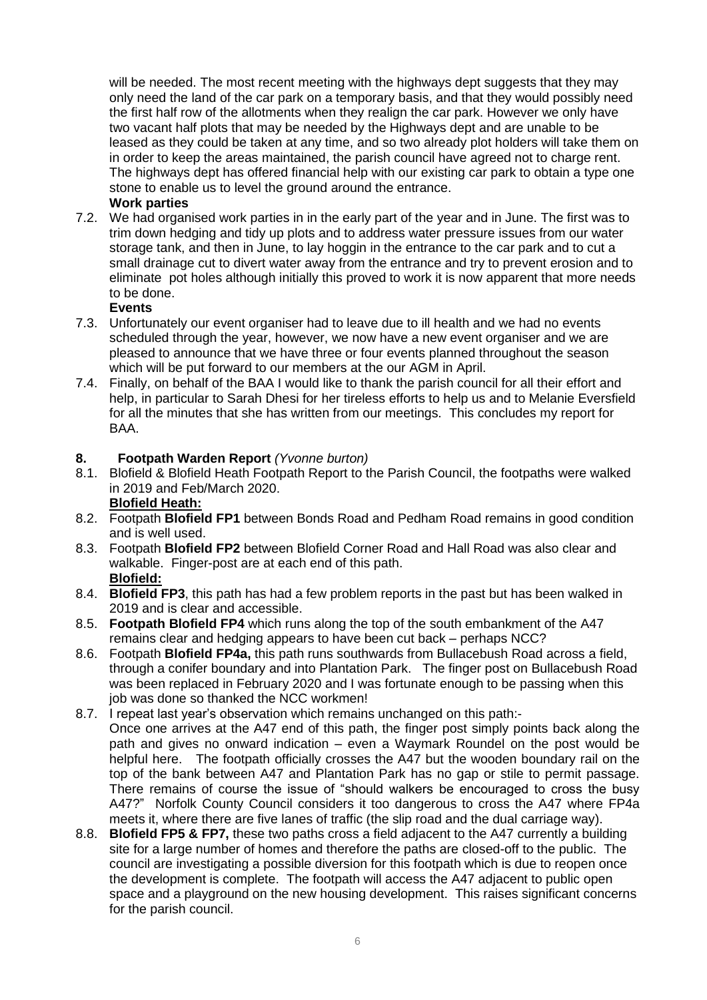will be needed. The most recent meeting with the highways dept suggests that they may only need the land of the car park on a temporary basis, and that they would possibly need the first half row of the allotments when they realign the car park. However we only have two vacant half plots that may be needed by the Highways dept and are unable to be leased as they could be taken at any time, and so two already plot holders will take them on in order to keep the areas maintained, the parish council have agreed not to charge rent. The highways dept has offered financial help with our existing car park to obtain a type one stone to enable us to level the ground around the entrance.

## **Work parties**

7.2. We had organised work parties in in the early part of the year and in June. The first was to trim down hedging and tidy up plots and to address water pressure issues from our water storage tank, and then in June, to lay hoggin in the entrance to the car park and to cut a small drainage cut to divert water away from the entrance and try to prevent erosion and to eliminate pot holes although initially this proved to work it is now apparent that more needs to be done.

### **Events**

- 7.3. Unfortunately our event organiser had to leave due to ill health and we had no events scheduled through the year, however, we now have a new event organiser and we are pleased to announce that we have three or four events planned throughout the season which will be put forward to our members at the our AGM in April.
- 7.4. Finally, on behalf of the BAA I would like to thank the parish council for all their effort and help, in particular to Sarah Dhesi for her tireless efforts to help us and to Melanie Eversfield for all the minutes that she has written from our meetings.This concludes my report for BAA.

### **8. Footpath Warden Report** *(Yvonne burton)*

8.1. Blofield & Blofield Heath Footpath Report to the Parish Council, the footpaths were walked in 2019 and Feb/March 2020.

## **Blofield Heath:**

- 8.2. Footpath **Blofield FP1** between Bonds Road and Pedham Road remains in good condition and is well used.
- 8.3. Footpath **Blofield FP2** between Blofield Corner Road and Hall Road was also clear and walkable. Finger-post are at each end of this path. **Blofield:**
- 8.4. **Blofield FP3**, this path has had a few problem reports in the past but has been walked in 2019 and is clear and accessible.
- 8.5. **Footpath Blofield FP4** which runs along the top of the south embankment of the A47 remains clear and hedging appears to have been cut back – perhaps NCC?
- 8.6. Footpath **Blofield FP4a,** this path runs southwards from Bullacebush Road across a field, through a conifer boundary and into Plantation Park. The finger post on Bullacebush Road was been replaced in February 2020 and I was fortunate enough to be passing when this job was done so thanked the NCC workmen!
- 8.7. I repeat last year's observation which remains unchanged on this path:- Once one arrives at the A47 end of this path, the finger post simply points back along the path and gives no onward indication – even a Waymark Roundel on the post would be helpful here. The footpath officially crosses the A47 but the wooden boundary rail on the top of the bank between A47 and Plantation Park has no gap or stile to permit passage. There remains of course the issue of "should walkers be encouraged to cross the busy A47?" Norfolk County Council considers it too dangerous to cross the A47 where FP4a meets it, where there are five lanes of traffic (the slip road and the dual carriage way).
- 8.8. **Blofield FP5 & FP7,** these two paths cross a field adjacent to the A47 currently a building site for a large number of homes and therefore the paths are closed-off to the public. The council are investigating a possible diversion for this footpath which is due to reopen once the development is complete. The footpath will access the A47 adjacent to public open space and a playground on the new housing development. This raises significant concerns for the parish council.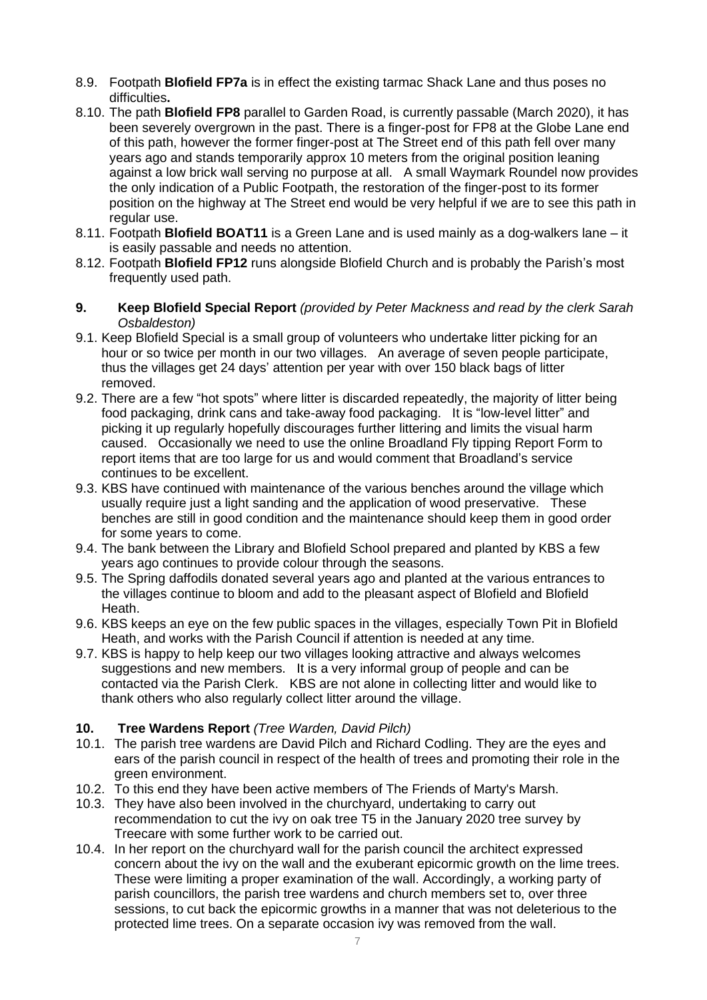- 8.9. Footpath **Blofield FP7a** is in effect the existing tarmac Shack Lane and thus poses no difficulties**.**
- 8.10. The path **Blofield FP8** parallel to Garden Road, is currently passable (March 2020), it has been severely overgrown in the past. There is a finger-post for FP8 at the Globe Lane end of this path, however the former finger-post at The Street end of this path fell over many years ago and stands temporarily approx 10 meters from the original position leaning against a low brick wall serving no purpose at all. A small Waymark Roundel now provides the only indication of a Public Footpath, the restoration of the finger-post to its former position on the highway at The Street end would be very helpful if we are to see this path in regular use.
- 8.11. Footpath **Blofield BOAT11** is a Green Lane and is used mainly as a dog-walkers lane it is easily passable and needs no attention.
- 8.12. Footpath **Blofield FP12** runs alongside Blofield Church and is probably the Parish's most frequently used path.
- **9. Keep Blofield Special Report** *(provided by Peter Mackness and read by the clerk Sarah Osbaldeston)*
- 9.1. Keep Blofield Special is a small group of volunteers who undertake litter picking for an hour or so twice per month in our two villages. An average of seven people participate, thus the villages get 24 days' attention per year with over 150 black bags of litter removed.
- 9.2. There are a few "hot spots" where litter is discarded repeatedly, the majority of litter being food packaging, drink cans and take-away food packaging. It is "low-level litter" and picking it up regularly hopefully discourages further littering and limits the visual harm caused. Occasionally we need to use the online Broadland Fly tipping Report Form to report items that are too large for us and would comment that Broadland's service continues to be excellent.
- 9.3. KBS have continued with maintenance of the various benches around the village which usually require just a light sanding and the application of wood preservative. These benches are still in good condition and the maintenance should keep them in good order for some years to come.
- 9.4. The bank between the Library and Blofield School prepared and planted by KBS a few years ago continues to provide colour through the seasons.
- 9.5. The Spring daffodils donated several years ago and planted at the various entrances to the villages continue to bloom and add to the pleasant aspect of Blofield and Blofield Heath.
- 9.6. KBS keeps an eye on the few public spaces in the villages, especially Town Pit in Blofield Heath, and works with the Parish Council if attention is needed at any time.
- 9.7. KBS is happy to help keep our two villages looking attractive and always welcomes suggestions and new members. It is a very informal group of people and can be contacted via the Parish Clerk. KBS are not alone in collecting litter and would like to thank others who also regularly collect litter around the village.

## **10. Tree Wardens Report** *(Tree Warden, David Pilch)*

- 10.1. The parish tree wardens are David Pilch and Richard Codling. They are the eyes and ears of the parish council in respect of the health of trees and promoting their role in the green environment.
- 10.2. To this end they have been active members of The Friends of Marty's Marsh.
- 10.3. They have also been involved in the churchyard, undertaking to carry out recommendation to cut the ivy on oak tree T5 in the January 2020 tree survey by Treecare with some further work to be carried out.
- 10.4. In her report on the churchyard wall for the parish council the architect expressed concern about the ivy on the wall and the exuberant epicormic growth on the lime trees. These were limiting a proper examination of the wall. Accordingly, a working party of parish councillors, the parish tree wardens and church members set to, over three sessions, to cut back the epicormic growths in a manner that was not deleterious to the protected lime trees. On a separate occasion ivy was removed from the wall.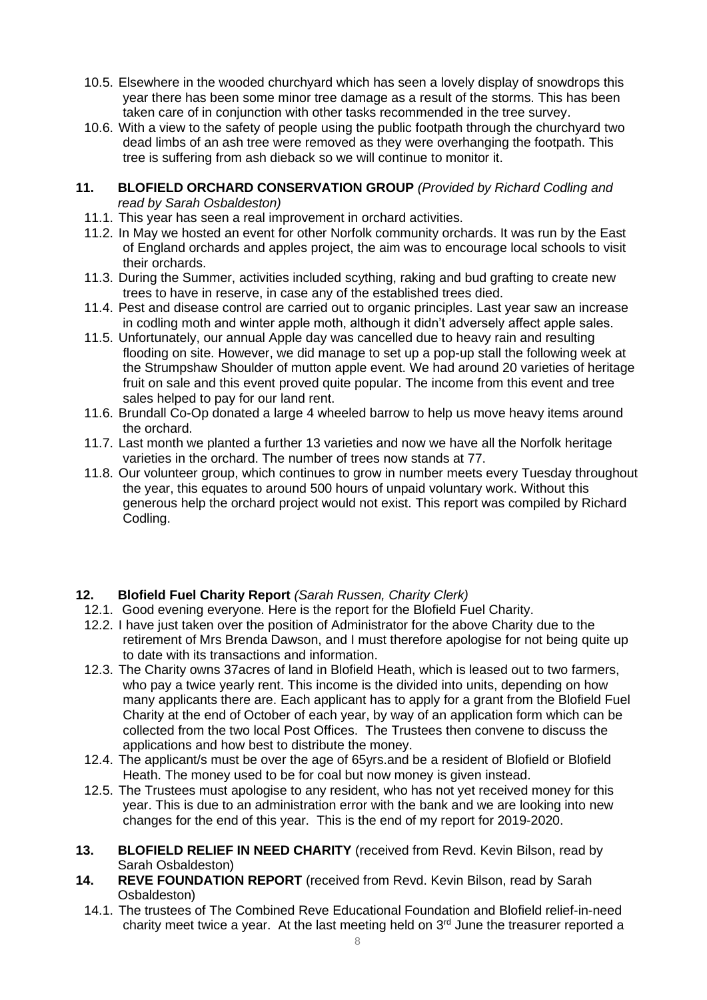- 10.5. Elsewhere in the wooded churchyard which has seen a lovely display of snowdrops this year there has been some minor tree damage as a result of the storms. This has been taken care of in conjunction with other tasks recommended in the tree survey.
- 10.6. With a view to the safety of people using the public footpath through the churchyard two dead limbs of an ash tree were removed as they were overhanging the footpath. This tree is suffering from ash dieback so we will continue to monitor it.
- **11. BLOFIELD ORCHARD CONSERVATION GROUP** *(Provided by Richard Codling and read by Sarah Osbaldeston)*
	- 11.1. This year has seen a real improvement in orchard activities.
	- 11.2. In May we hosted an event for other Norfolk community orchards. It was run by the East of England orchards and apples project, the aim was to encourage local schools to visit their orchards.
	- 11.3. During the Summer, activities included scything, raking and bud grafting to create new trees to have in reserve, in case any of the established trees died.
	- 11.4. Pest and disease control are carried out to organic principles. Last year saw an increase in codling moth and winter apple moth, although it didn't adversely affect apple sales.
	- 11.5. Unfortunately, our annual Apple day was cancelled due to heavy rain and resulting flooding on site. However, we did manage to set up a pop-up stall the following week at the Strumpshaw Shoulder of mutton apple event. We had around 20 varieties of heritage fruit on sale and this event proved quite popular. The income from this event and tree sales helped to pay for our land rent.
	- 11.6. Brundall Co-Op donated a large 4 wheeled barrow to help us move heavy items around the orchard.
	- 11.7. Last month we planted a further 13 varieties and now we have all the Norfolk heritage varieties in the orchard. The number of trees now stands at 77.
	- 11.8. Our volunteer group, which continues to grow in number meets every Tuesday throughout the year, this equates to around 500 hours of unpaid voluntary work. Without this generous help the orchard project would not exist. This report was compiled by Richard Codling.

## **12. Blofield Fuel Charity Report** *(Sarah Russen, Charity Clerk)*

- 12.1. Good evening everyone. Here is the report for the Blofield Fuel Charity.
- 12.2. I have just taken over the position of Administrator for the above Charity due to the retirement of Mrs Brenda Dawson, and I must therefore apologise for not being quite up to date with its transactions and information.
- 12.3. The Charity owns 37acres of land in Blofield Heath, which is leased out to two farmers, who pay a twice yearly rent. This income is the divided into units, depending on how many applicants there are. Each applicant has to apply for a grant from the Blofield Fuel Charity at the end of October of each year, by way of an application form which can be collected from the two local Post Offices. The Trustees then convene to discuss the applications and how best to distribute the money.
- 12.4. The applicant/s must be over the age of 65yrs.and be a resident of Blofield or Blofield Heath. The money used to be for coal but now money is given instead.
- 12.5. The Trustees must apologise to any resident, who has not yet received money for this year. This is due to an administration error with the bank and we are looking into new changes for the end of this year. This is the end of my report for 2019-2020.
- **13. BLOFIELD RELIEF IN NEED CHARITY** (received from Revd. Kevin Bilson, read by Sarah Osbaldeston)
- **14. REVE FOUNDATION REPORT** (received from Revd. Kevin Bilson, read by Sarah Osbaldeston)
	- 14.1. The trustees of The Combined Reve Educational Foundation and Blofield relief-in-need charity meet twice a year. At the last meeting held on  $3<sup>rd</sup>$  June the treasurer reported a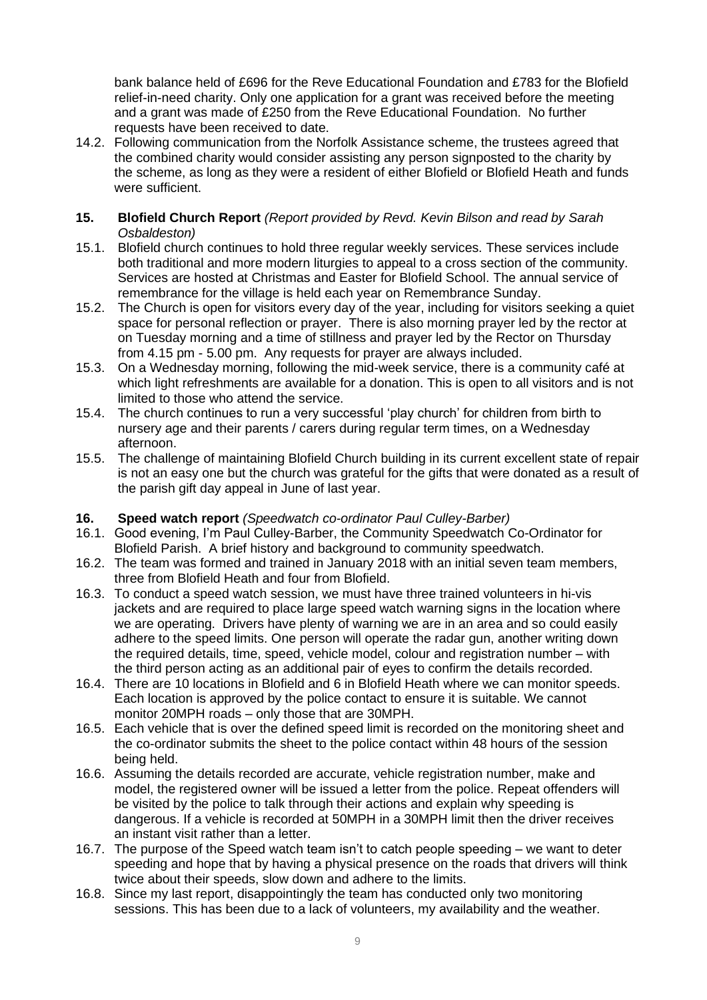bank balance held of £696 for the Reve Educational Foundation and £783 for the Blofield relief-in-need charity. Only one application for a grant was received before the meeting and a grant was made of £250 from the Reve Educational Foundation. No further requests have been received to date.

- 14.2. Following communication from the Norfolk Assistance scheme, the trustees agreed that the combined charity would consider assisting any person signposted to the charity by the scheme, as long as they were a resident of either Blofield or Blofield Heath and funds were sufficient.
- **15. Blofield Church Report** *(Report provided by Revd. Kevin Bilson and read by Sarah Osbaldeston)*
- 15.1. Blofield church continues to hold three regular weekly services. These services include both traditional and more modern liturgies to appeal to a cross section of the community. Services are hosted at Christmas and Easter for Blofield School. The annual service of remembrance for the village is held each year on Remembrance Sunday.
- 15.2. The Church is open for visitors every day of the year, including for visitors seeking a quiet space for personal reflection or prayer. There is also morning prayer led by the rector at on Tuesday morning and a time of stillness and prayer led by the Rector on Thursday from 4.15 pm - 5.00 pm. Any requests for prayer are always included.
- 15.3. On a Wednesday morning, following the mid-week service, there is a community café at which light refreshments are available for a donation. This is open to all visitors and is not limited to those who attend the service.
- 15.4. The church continues to run a very successful 'play church' for children from birth to nursery age and their parents / carers during regular term times, on a Wednesday afternoon.
- 15.5. The challenge of maintaining Blofield Church building in its current excellent state of repair is not an easy one but the church was grateful for the gifts that were donated as a result of the parish gift day appeal in June of last year.

## **16. Speed watch report** *(Speedwatch co-ordinator Paul Culley-Barber)*

- 16.1. Good evening, I'm Paul Culley-Barber, the Community Speedwatch Co-Ordinator for Blofield Parish. A brief history and background to community speedwatch.
- 16.2. The team was formed and trained in January 2018 with an initial seven team members, three from Blofield Heath and four from Blofield.
- 16.3. To conduct a speed watch session, we must have three trained volunteers in hi-vis jackets and are required to place large speed watch warning signs in the location where we are operating. Drivers have plenty of warning we are in an area and so could easily adhere to the speed limits. One person will operate the radar gun, another writing down the required details, time, speed, vehicle model, colour and registration number – with the third person acting as an additional pair of eyes to confirm the details recorded.
- 16.4. There are 10 locations in Blofield and 6 in Blofield Heath where we can monitor speeds. Each location is approved by the police contact to ensure it is suitable. We cannot monitor 20MPH roads – only those that are 30MPH.
- 16.5. Each vehicle that is over the defined speed limit is recorded on the monitoring sheet and the co-ordinator submits the sheet to the police contact within 48 hours of the session being held.
- 16.6. Assuming the details recorded are accurate, vehicle registration number, make and model, the registered owner will be issued a letter from the police. Repeat offenders will be visited by the police to talk through their actions and explain why speeding is dangerous. If a vehicle is recorded at 50MPH in a 30MPH limit then the driver receives an instant visit rather than a letter.
- 16.7. The purpose of the Speed watch team isn't to catch people speeding we want to deter speeding and hope that by having a physical presence on the roads that drivers will think twice about their speeds, slow down and adhere to the limits.
- 16.8. Since my last report, disappointingly the team has conducted only two monitoring sessions. This has been due to a lack of volunteers, my availability and the weather.